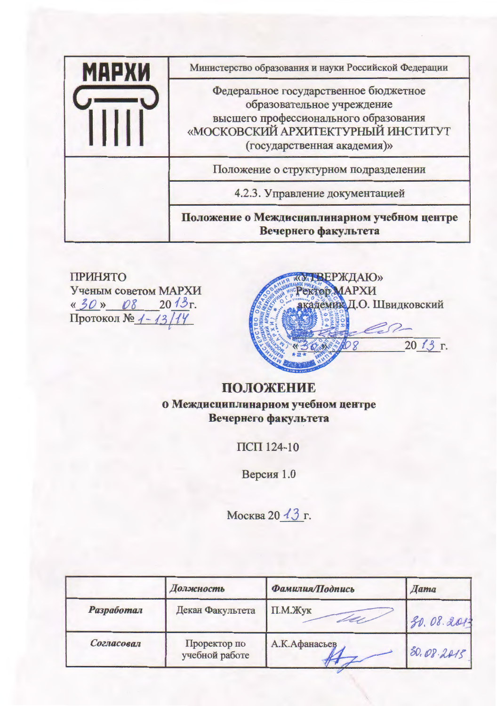| МАРХИ | Министерство образования и науки Российской Федерации                                                                                                                             |
|-------|-----------------------------------------------------------------------------------------------------------------------------------------------------------------------------------|
|       | Федеральное государственное бюджетное<br>образовательное учреждение<br>высшего профессионального образования<br>«МОСКОВСКИЙ АРХИТЕКТУРНЫЙ ИНСТИТУТ<br>(государственная академия)» |
|       | Положение о структурном подразделении                                                                                                                                             |
|       | 4.2.3. Управление документацией                                                                                                                                                   |
|       | Положение о Междисциплинарном учебном центре<br>Вечернего факультета                                                                                                              |

**ПРИНЯТО** Ученым советом МАРХИ « 30 » 08 2013 г.<br>Протокол № 1-13/19



# ПОЛОЖЕНИЕ о Междисциплинарном учебном центре Вечернего факультета

ПСП 124-10

Версия 1.0

Москва 20 13 г.

|                   | Должность                      | Фамилия/Подпись | <b>Hama</b> |
|-------------------|--------------------------------|-----------------|-------------|
| <b>Разработал</b> | Декан Факультета               | $\Pi.M.$ Жук    | 30.08.2013  |
| Согласовал        | Проректор по<br>учебной работе | А.К.Афанасьев   | 80.08.2415  |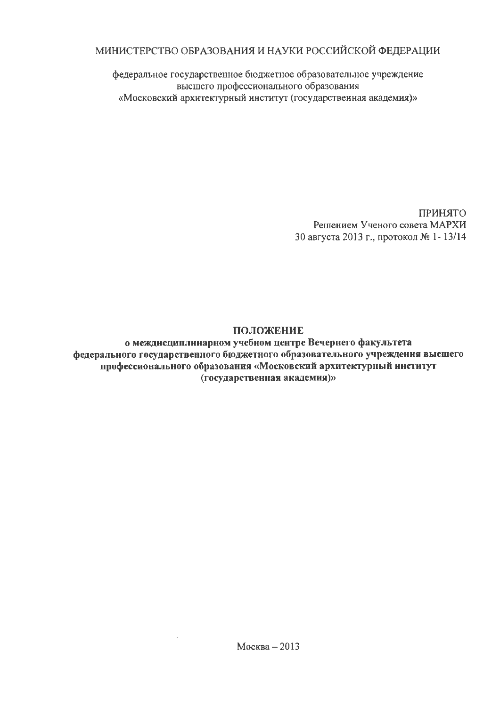## МИНИСТЕРСТВО ОБРАЗОВАНИЯ И НАУКИ РОССИЙСКОЙ ФЕДЕРАЦИИ

федеральное государственное бюджетное образовательное учреждение высшего профессионального образования «Московский архитектурный институт (государственная академия)»

> ПРИНЯТО Решением Ученого совета МАРХИ 30 августа 2013 г., протокол № 1-13/14

## ПОЛОЖЕНИЕ

о междисциплинарном учебном центре Вечернего факультета федерального государственного бюджетного образовательного учреждения высшего профессионального образования «Московский архитектурный институт (государственная академия)»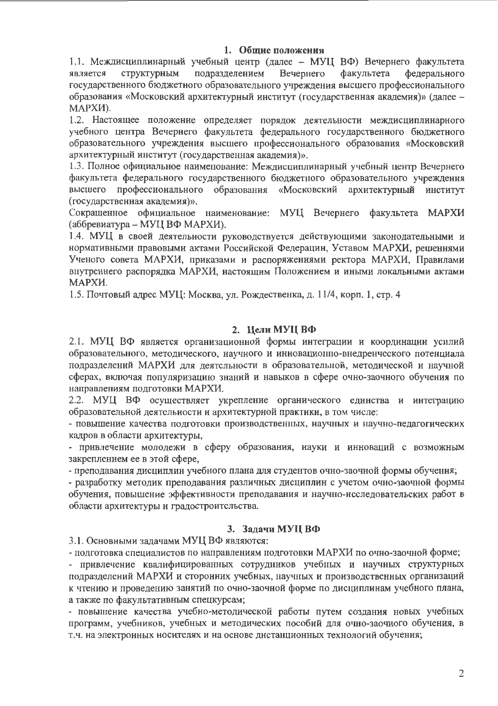## 1. Общие положения

1.1. Междисциплинарный учебный центр (далее - МУЦ ВФ) Вечернего факультета подразделением Вечернего факультета фелерального является СТРУКТУРНЫМ государственного бюджетного образовательного учреждения высшего профессионального образования «Московский архитектурный институт (государственная академия)» (далее -МАРХИ).

1.2. Настоящее положение определяет порядок деятельности междисциплинарного учебного центра Вечернего факультета федерального государственного бюджетного образовательного учреждения высшего профессионального образования «Московский архитектурный институт (государственная академия)».

1.3. Полное официальное наименование: Междисциплинарный учебный центр Вечернего факультета федерального государственного бюджетного образовательного учреждения профессионального образования «Московский архитектурный институт высшего (государственная академия)».

Сокращенное официальное наименование: МУЦ Вечернего факультета МАРХИ (аббревиатура – МУЦ ВФ МАРХИ).

1.4. МУЦ в своей деятельности руководствуется действующими законодательными и нормативными правовыми актами Российской Федерацин, Уставом МАРХИ, решеннями Ученого совета МАРХИ, приказами и распоряжениями ректора МАРХИ, Правилами внутреннего распорядка МАРХИ, настоящим Положением и иными локальными актами МАРХИ.

1.5. Почтовый адрес МУЦ: Москва, ул. Рождественка, д. 11/4, корп. 1, стр. 4

## 2. Цели МУЦ ВФ

2.1. МУЦ ВФ является организационной формы интеграции и координации усилий образовательного, методического, научного и инновационно-внедренческого потенциала подразделений МАРХИ для деятсльности в образовательной, методической и научной сферах, включая популяризацию знаний и навыков в сфере очно-заочного обучения по направлениям подготовки МАРХИ.

2.2. МУЦ ВФ осуществляет укрепление органического единства и интеграцию образовательной деятельиости и архитектурной практики, в том числе:

- повышение качества подготовки производственных, научных и научно-педагогических кадров в области архитектуры,

- привлечение молодежи в сферу образования, иауки и инноваций с возможным закреплением ее в этой сфере,

- преподавания дисциплин учебного плана для студентов очно-заочной формы обучення;

- разработку методик преподавания различных дисциплин с учетом очно-заочной формы обучения, повышение эффективности преподавания и научно-исследовательских работ в области архитектуры н градостроитсльства.

## 3. Задачи МУЦ ВФ

3.1. Основными задачами МУЦ ВФ являются:

- подготовка специалистов по направлениям подготовки МАРХИ по очно-заочной форме;

- привлечение квалифицированных сотрудников учебных и научных структурных подразделений МАРХИ и сторонних учебных, научных и производственных организаций к чтению и проведению занятий по очно-заочной форме по дисциплинам учебного плана, а также по факультативным спецкурсам;

- повышение качества учебно-методической работы путем создания новых учебных программ, учебников, учебных и методических пособий для очно-заочного обучения, в т.ч. на электронных носителях и на основе дистанционных технологий обучения;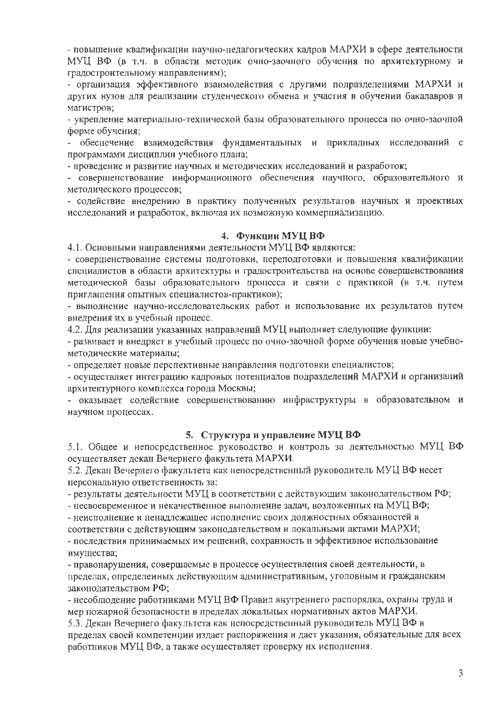- повышение квалификации научно-педагогических кадров МАРХИ в сфере деятельности МУЦ ВФ (в т.ч. в области методик очно-заочного обучения по архитектурному и градостроительному направлениям):

- организация эффективного взаимодействия с другими подразделениями МАРХИ и других вузов для реализации студенческого обмена и участия в обучении бакалавров и магистров;

- укрепление материально-технической базы образовательного процесса по очно-заочной форме обучения:

- обеспечение взаимодействия фундаментальных и прикладных исследований с программами дисциплин учебного плана;

- проведение и развитие научных и методических исследований и разработок;

- совершенствование информационного обеспечения научного, образовательного и методического процессов;

- содействие внедрению в практику полученных результатов научных и проектиых исследований и разработок, включая их возможную коммерциализацию.

### 4. Функции МУЦ ВФ

4.1. Основными направлениями деятельности МУЦ ВФ являются:

- совершенствование системы подготовки, переподготовки и повышення квалификации специалистов в области архитектуры и градостроительства на основе совершенствования методической базы образовательного процесса и связи с практикой (в т.ч. путем приглашения опытных специалистов-практиков);

- выполнение научно-исследовательских работ и использование их результатов путем внедрения их в учебный процесс.

4.2. Для реализации указанных направлений МУЦ выполняет следующие функции:

- развивает и внедряет в учебный процесс по очно-заочной форме обучения новые учебнометодические материалы;

- определяет новые перспективные направления подготовки специалистов;

- осуществляет интеграцию кадровых потенциалов подразделений МАРХИ и организаций архитектурного комплекса города Москвы;

- оказывает содействие совершенствованию инфраструктуры в образовательном и научном процессах.

#### 5. Структура и управление МУЦ ВФ

5.1. Общее и непосредственное руководство и контроль за деятельностью МУЦ ВФ осуществляет декан Вечернего факультета МАРХИ.

5.2. Декан Вечернего факультета как непосредственный руководитель МУЦ ВФ несет персональную ответственность за:

- результаты деятельности МУЦ в соответствии с действующим законодательством РФ;

- несвоевременное и некачественное выполнение задач, возложенных на МУЦ ВФ;

- неисполнение и ненадлежащее исполнение своих должностных обязанностей в

соответствии с действующим законодательством и локальными актами МАРХИ;

- последствия принимаемых им решений, сохранность и эффективное использование имущества;

- правонарушения, совершаемые в процессе осуществления своей деятельности, в пределах, определенных действующим административным, уголовным и гражданским законодательством РФ;

- несоблюдение работниками МУЦ ВФ Правил внутреннего распорядка, охраны труда и мер пожарной безопасности в пределах локальных нормативных актов МАРХИ.

5.3. Декан Вечернего факультета как непосредственный руководитель МУЦ ВФ в пределах своей компетенции издает распоряжения и дает указания, обязательные для всех работников МУЦ ВФ, а также осуществляет проверку их исполнения.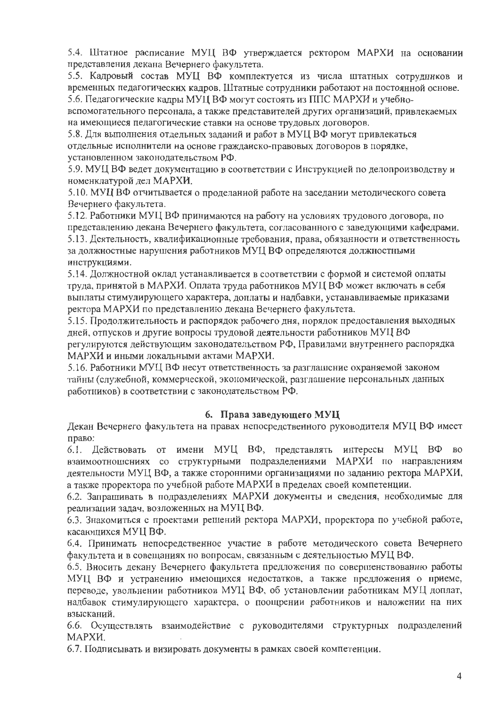5.4. Штатное расписание МУЦ ВФ утверждается ректором МАРХИ на основании представления декана Вечернего факультета.

5.5. Кадровый состав МУЦ ВФ комплектуется из числа штатных сотрудников и временных педагогических кадров. Штатные сотрудники работают на постоянной основе. 5.6. Педагогические кадры МУЦ ВФ могут состоять из ППС МАРХИ и учебно-

вспомогательного персонала, а также представителей других организаций, привлекаемых на имеющиеся педагогические ставки на основе трудовых договоров.

5.8. Для выполнения отдельных заданий и работ в МУЦ ВФ могут привлекаться отдельные исполнители на основе гражданско-правовых договоров в порядке, установленном законодательством РФ.

5.9. МУЦ ВФ ведет документацию в соответствии с Инструкцией по делопроизводству и номенклатурой дел МАРХИ.

5.10. МУЦ ВФ отчитывается о проделанной работе на заседании методического совета Вечернего факультета.

5.12. Работники МУЦ ВФ принимаются на работу на условиях трудового договора, по представлению декана Вечернего факультета, согласованного с заведующими кафедрами. 5.13. Деятельность, квалификационные требования, права, обязанности и ответственность за должностные нарушения работников МУЦ ВФ определяются должностными инструкциями.

5.14. Должностной оклад устанавливается в соответствии с формой и системой оплаты труда, принятой в МАРХИ. Оплата труда работников МУЦ ВФ может включать в себя выплаты стимулирующего характера, доплаты и надбавки, устанавливаемые приказами ректора МАРХИ по представлению декана Вечернего факультета.

5.15. Продолжительность и распорядок рабочего дня, порядок предоставления выходных дней, отпусков и другие вопросы трудовой деятельности работников МУЦ ВФ регулируются действующим законодательством РФ, Правилами внутреннего распорядка МАРХИ и иными локальными актами МАРХИ.

5.16. Работники МУЦ ВФ несут ответственность за разглашение охраняемой законом тайны (служебной, коммерческой, экономической, разглашение персональных данных работников) в соответствии с законодательством РФ.

## 6. Права заведующего МУЦ

Декан Вечернего факультета на правах непосредственного руководителя МУЦ ВФ имеет право:

6.1. Действовать от имени МУЦ ВФ, представлять интересы МУЦ ВФ во взаимоотношениях со структурными подразделениями МАРХИ по направлениям деятельности МУЦ ВФ, а также сторонними организациями по заданию ректора МАРХИ, а также проректора по учебной работе МАРХИ в пределах своей компетенции.

6.2. Запрашивать в подразделениях МАРХИ документы и сведения, необходимые для реализации задач, возложенных на МУЦ ВФ.

6.3. Знакомиться с проектами решений ректора МАРХИ, проректора по учебной работе, касающихся МУЦ ВФ.

6.4. Принимать непосредственное участие в работе методического совета Вечернего факультета и в совещаниях по вопросам, связанным с деятельностью МУЦ ВФ.

6.5. Вносить декану Вечернего факультета предложения по совершенствованию работы МУЦ ВФ и устранению имеющихся недостатков, а также предложения о приеме, переводе, увольнении работников МУЦ ВФ, об установлении работникам МУЦ доплат, надбавок стимулирующего характера, о поощрении работников и наложении на них взысканий.

6.6. Осуществлять взаимодействие с руководителями структурных подразделений МАРХИ.

6.7. Подписывать и визировать документы в рамках своей компетенции.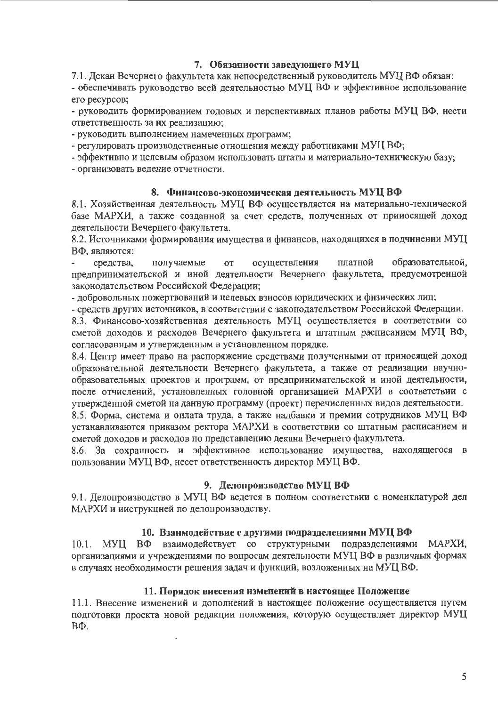## 7. Обязанности заведующего МУЦ

7.1. Декан Вечернего факультета как непосредственный руководитель МУЦ ВФ обязан:

- обеспечивать руководство всей деятельностью МУЦ ВФ и эффективное использование его ресурсов;

- руководить формированием годовых и перспективных планов работы МУЦ ВФ, нести ответственность за их реализацию;

- руководить выполнением намеченных программ;

- регулировать производственные отношения между работниками МУЦ ВФ;

- эффективно и целевым образом использовать штаты и материально-техническую базу;

- организовать ведение отчетности.

## 8. Финансово-экономическая деятельность МУЦ ВФ

8.1. Хозяйственная деятельность МУЦ ВФ осуществляется на материально-технической базе МАРХИ, а также созданной за счет средств, полученных от прииосящей доход деятельности Вечернего факультета.

8.2. Источниками формирования имущества и финансов, находящихся в подчинении МУЦ ВФ, являются:

получаемые осуществления платной образовательной, средства, **OT** предпринимательской и иной деятельности Вечернего факультета, предусмотреиной законодательством Российской Федерации;

- добровольных пожертвований и целевых взносов юридических и физических лиц;

- средств других источников, в соответствии с законодательством Российской Федерации. 8.3. Финансово-хозяйственная деятельность МУЦ осуществляется в соответствии со сметой доходов и расходов Вечернего факультета и штатным расписанием МУЦ ВФ, согласованным и утвержденным в установленном порядке.

8.4. Центр имеет право на распоряжение средствами полученными от приносящей доход образовательной деятельности Вечернего факультета, а также от реализации научнообразовательных проектов и программ, от предпринимательской и иной деятельности, после отчислений, установленных головной организацией МАРХИ в соответствии с утвержденной сметой на данную программу (проект) перечисленных видов деятельности.

8.5. Форма, система и оплата труда, а также надбавки и премии сотрудников МУЦ ВФ устанавливаются приказом ректора МАРХИ в соответствии со штатным расписанием и сметой доходов и расходов по представлению декана Вечернего факультета.

8.6. За сохранность и эффективное использование имущества, находящегося в пользовании МУЦ ВФ, несет ответственность директор МУЦ ВФ.

## 9. Делопроизводство МУЦ ВФ

9.1. Делопроизводство в МУЦ ВФ ведется в полном соответствии с номенклатурой дел МАРХИ и ииструкцией по делопроизводству.

## 10. Взаимодействие с другими подразделениями МУЦ ВФ

10.1. МУЦ ВФ взаимодействует со структурными подразделениями МАРХИ, организациями и учреждениями по вопросам деятельности МУЦ ВФ в различных формах в случаях необходимости решения задач и функций, возложенных на МУЦ ВФ.

## 11. Порядок виесения изменений в настоящее Положение

11.1. Внесение изменений и дополнений в настоящее положение осуществляется путем подготовки проекта новой редакции положения, которую осуществляет директор МУЦ BФ.